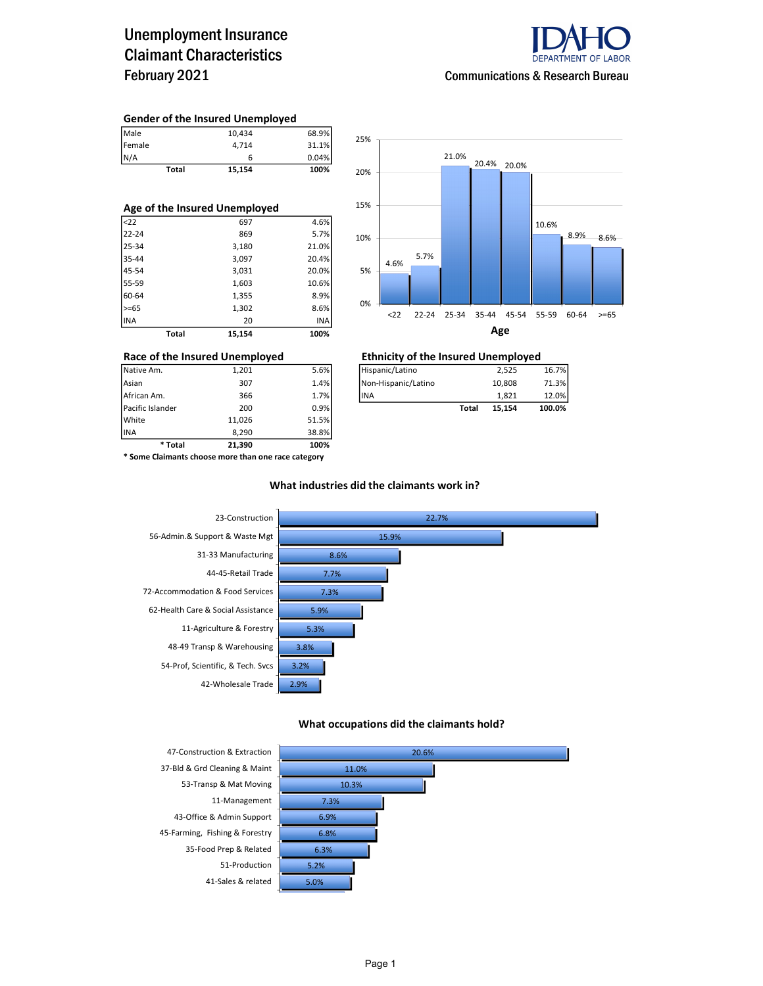## Unemployment Insurance Claimant Characteristics February 2021



#### Gender of the Insured Unemployed

| Female       | 4.714  | 31.1% |
|--------------|--------|-------|
| N/A          | 6      | 0.04% |
| <b>Total</b> | 15,154 | 100%  |

| Age of the Insured Unemployed |       |        |       |  |  |  |  |  |  |
|-------------------------------|-------|--------|-------|--|--|--|--|--|--|
| $22$                          |       | 697    | 4.6%  |  |  |  |  |  |  |
| $22 - 24$                     |       | 869    | 5.7%  |  |  |  |  |  |  |
| 25-34                         |       | 3,180  | 21.0% |  |  |  |  |  |  |
| 35-44                         |       | 3,097  | 20.4% |  |  |  |  |  |  |
| 45-54                         |       | 3,031  | 20.0% |  |  |  |  |  |  |
| 55-59                         |       | 1,603  | 10.6% |  |  |  |  |  |  |
| 60-64                         |       | 1,355  | 8.9%  |  |  |  |  |  |  |
| $>= 65$                       |       | 1,302  | 8.6%  |  |  |  |  |  |  |
| <b>INA</b>                    |       | 20     | INA   |  |  |  |  |  |  |
|                               | Total | 15.154 | 100%  |  |  |  |  |  |  |



### Race of the Insured Unemployed Ethnicity of the Insured Unemployed

| Pacific Islander | 200   | 0.9%l |                     | Total | 15.154 | 100.0% |
|------------------|-------|-------|---------------------|-------|--------|--------|
| African Am.      | 366   | 1.7%  | lina                |       | 1.821  | 12.0%  |
| Asian            | 307   | 1.4%  | Non-Hispanic/Latino |       | 10.808 | 71.3%1 |
| Native Am.       | 1.201 | 5.6%  | Hispanic/Latino     |       | 2.525  | 16.7%  |

| * Total          | 21,390 | 100%  |
|------------------|--------|-------|
| <b>INA</b>       | 8.290  | 38.8% |
| White            | 11.026 | 51.5% |
| Pacific Islander | 200    | 0.9%  |
| African Am.      | 366    | 1.7%  |
|                  |        |       |

\* Some Claimants choose more than one race category

#### What industries did the claimants work in?



#### What occupations did the claimants hold?

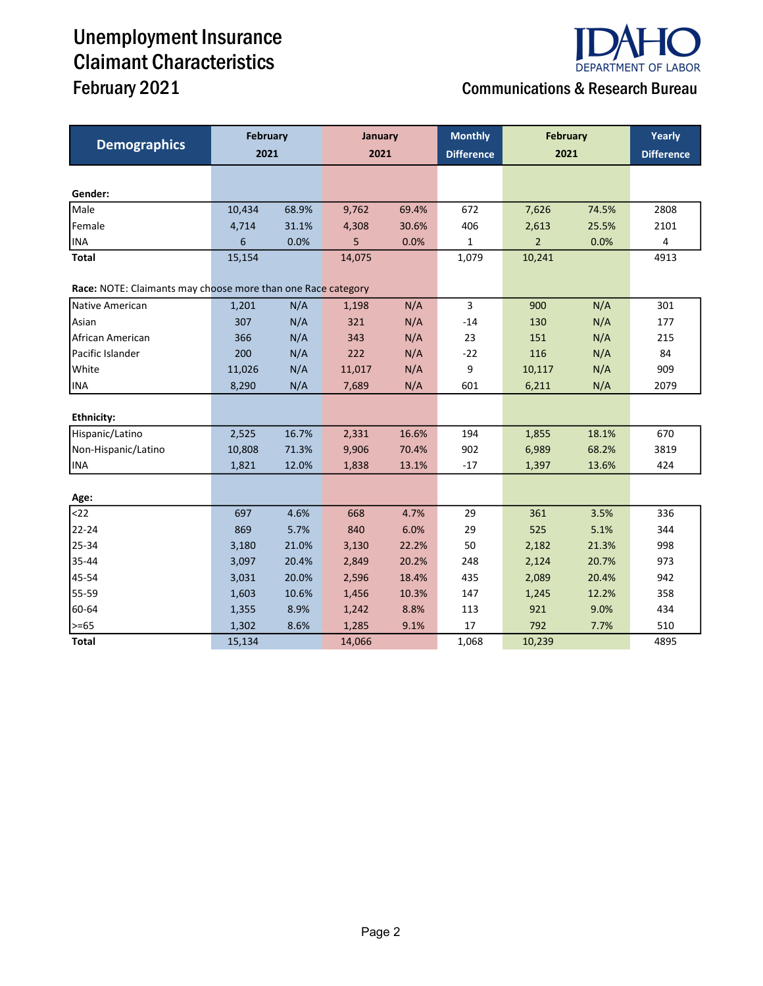# Unemployment Insurance Claimant Characteristics



# February 2021 **Communications & Research Bureau**

|                                                              | <b>February</b> |       | January |       | <b>Monthly</b>    | <b>February</b> | Yearly |                   |
|--------------------------------------------------------------|-----------------|-------|---------|-------|-------------------|-----------------|--------|-------------------|
| <b>Demographics</b>                                          | 2021            |       | 2021    |       | <b>Difference</b> | 2021            |        | <b>Difference</b> |
|                                                              |                 |       |         |       |                   |                 |        |                   |
| Gender:                                                      |                 |       |         |       |                   |                 |        |                   |
| Male                                                         | 10,434          | 68.9% | 9,762   | 69.4% | 672               | 7,626           | 74.5%  | 2808              |
| Female                                                       | 4,714           | 31.1% | 4,308   | 30.6% | 406               | 2,613           | 25.5%  | 2101              |
| <b>INA</b>                                                   | 6               | 0.0%  | 5       | 0.0%  | 1                 | $\overline{2}$  | 0.0%   | 4                 |
| <b>Total</b>                                                 | 15,154          |       | 14,075  |       | 1,079             | 10,241          |        | 4913              |
| Race: NOTE: Claimants may choose more than one Race category |                 |       |         |       |                   |                 |        |                   |
| Native American                                              | 1,201           | N/A   | 1,198   | N/A   | 3                 | 900             | N/A    | 301               |
| Asian                                                        | 307             | N/A   | 321     | N/A   | $-14$             | 130             | N/A    | 177               |
| African American                                             | 366             | N/A   | 343     | N/A   | 23                | 151             | N/A    | 215               |
| Pacific Islander                                             | 200             | N/A   | 222     | N/A   | $-22$             | 116             | N/A    | 84                |
| <b>White</b>                                                 | 11,026          | N/A   | 11,017  | N/A   | 9                 | 10,117          | N/A    | 909               |
| <b>INA</b>                                                   | 8,290           | N/A   | 7,689   | N/A   | 601               | 6,211           | N/A    | 2079              |
|                                                              |                 |       |         |       |                   |                 |        |                   |
| <b>Ethnicity:</b>                                            |                 |       |         |       |                   |                 |        |                   |
| Hispanic/Latino                                              | 2,525           | 16.7% | 2,331   | 16.6% | 194               | 1,855           | 18.1%  | 670               |
| Non-Hispanic/Latino                                          | 10,808          | 71.3% | 9,906   | 70.4% | 902               | 6,989           | 68.2%  | 3819              |
| <b>INA</b>                                                   | 1,821           | 12.0% | 1,838   | 13.1% | $-17$             | 1,397           | 13.6%  | 424               |
|                                                              |                 |       |         |       |                   |                 |        |                   |
| Age:                                                         |                 |       |         |       |                   |                 |        |                   |
| $22$                                                         | 697             | 4.6%  | 668     | 4.7%  | 29                | 361             | 3.5%   | 336               |
| 22-24                                                        | 869             | 5.7%  | 840     | 6.0%  | 29                | 525             | 5.1%   | 344               |
| 25-34                                                        | 3,180           | 21.0% | 3,130   | 22.2% | 50                | 2,182           | 21.3%  | 998               |
| 35-44                                                        | 3,097           | 20.4% | 2,849   | 20.2% | 248               | 2,124           | 20.7%  | 973               |
| 45-54                                                        | 3,031           | 20.0% | 2,596   | 18.4% | 435               | 2,089           | 20.4%  | 942               |
| 55-59                                                        | 1,603           | 10.6% | 1,456   | 10.3% | 147               | 1,245           | 12.2%  | 358               |
| 60-64                                                        | 1,355           | 8.9%  | 1,242   | 8.8%  | 113               | 921             | 9.0%   | 434               |
| >=65                                                         | 1,302           | 8.6%  | 1,285   | 9.1%  | 17                | 792             | 7.7%   | 510               |
| Total                                                        | 15,134          |       | 14,066  |       | 1,068             | 10,239          |        | 4895              |